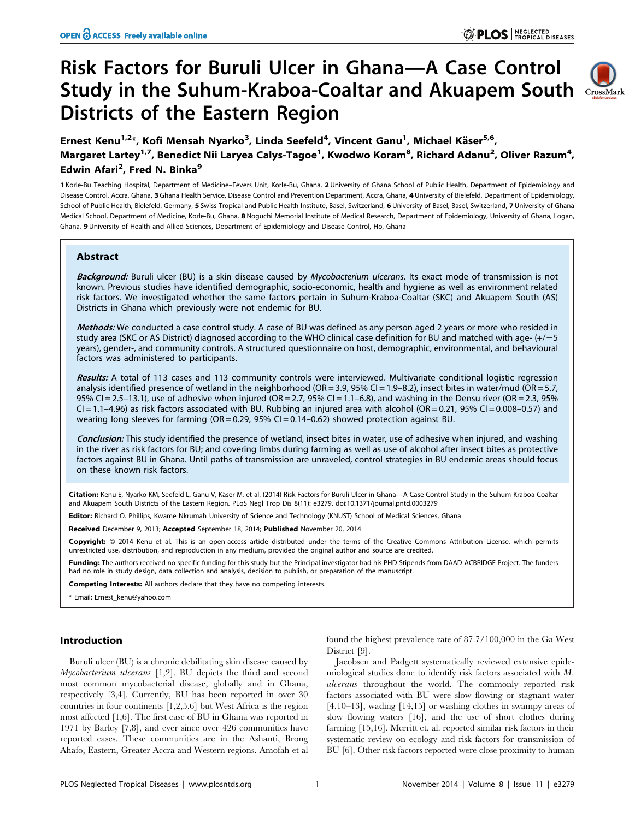# Risk Factors for Buruli Ulcer in Ghana—A Case Control Study in the Suhum-Kraboa-Coaltar and Akuapem South CrossMark Districts of the Eastern Region



Ernest Kenu<sup>1,2</sup>\*, Kofi Mensah Nyarko<sup>3</sup>, Linda Seefeld<sup>4</sup>, Vincent Ganu<sup>1</sup>, Michael Käser<sup>5,6</sup>, Margaret Lartey<sup>1,7</sup>, Benedict Nii Laryea Calys-Tagoe<sup>1</sup>, Kwodwo Koram<sup>8</sup>, Richard Adanu<sup>2</sup>, Oliver Razum<sup>4</sup>, Edwin Afari<sup>2</sup>, Fred N. Binka<sup>9</sup>

1 Korle-Bu Teaching Hospital, Department of Medicine–Fevers Unit, Korle-Bu, Ghana, 2 University of Ghana School of Public Health, Department of Epidemiology and Disease Control, Accra, Ghana, 3 Ghana Health Service, Disease Control and Prevention Department, Accra, Ghana, 4 University of Bielefeld, Department of Epidemiology, School of Public Health, Bielefeld, Germany, 5 Swiss Tropical and Public Health Institute, Basel, Switzerland, 6 University of Basel, Basel, Switzerland, 7 University of Ghana Medical School, Department of Medicine, Korle-Bu, Ghana, 8 Noquchi Memorial Institute of Medical Research, Department of Epidemiology, University of Ghana, Logan, Ghana, 9 University of Health and Allied Sciences, Department of Epidemiology and Disease Control, Ho, Ghana

## Abstract

Background: Buruli ulcer (BU) is a skin disease caused by Mycobacterium ulcerans. Its exact mode of transmission is not known. Previous studies have identified demographic, socio-economic, health and hygiene as well as environment related risk factors. We investigated whether the same factors pertain in Suhum-Kraboa-Coaltar (SKC) and Akuapem South (AS) Districts in Ghana which previously were not endemic for BU.

Methods: We conducted a case control study. A case of BU was defined as any person aged 2 years or more who resided in study area (SKC or AS District) diagnosed according to the WHO clinical case definition for BU and matched with age- (+/-5 years), gender-, and community controls. A structured questionnaire on host, demographic, environmental, and behavioural factors was administered to participants.

Results: A total of 113 cases and 113 community controls were interviewed. Multivariate conditional logistic regression analysis identified presence of wetland in the neighborhood (OR = 3.9, 95% CI = 1.9–8.2), insect bites in water/mud (OR = 5.7, 95% CI = 2.5–13.1), use of adhesive when injured (OR = 2.7, 95% CI = 1.1–6.8), and washing in the Densu river (OR = 2.3, 95%  $Cl = 1.1-4.96$ ) as risk factors associated with BU. Rubbing an injured area with alcohol (OR = 0.21, 95% CI = 0.008-0.57) and wearing long sleeves for farming  $(OR = 0.29, 95\% \text{ Cl} = 0.14-0.62)$  showed protection against BU.

Conclusion: This study identified the presence of wetland, insect bites in water, use of adhesive when injured, and washing in the river as risk factors for BU; and covering limbs during farming as well as use of alcohol after insect bites as protective factors against BU in Ghana. Until paths of transmission are unraveled, control strategies in BU endemic areas should focus on these known risk factors.

Citation: Kenu E, Nyarko KM, Seefeld L, Ganu V, Käser M, et al. (2014) Risk Factors for Buruli Ulcer in Ghana—A Case Control Study in the Suhum-Kraboa-Coaltar and Akuapem South Districts of the Eastern Region. PLoS Negl Trop Dis 8(11): e3279. doi:10.1371/journal.pntd.0003279

Editor: Richard O. Phillips, Kwame Nkrumah University of Science and Technology (KNUST) School of Medical Sciences, Ghana

Received December 9, 2013; Accepted September 18, 2014; Published November 20, 2014

Copyright: © 2014 Kenu et al. This is an open-access article distributed under the terms of the [Creative Commons Attribution License,](http://creativecommons.org/licenses/by/4.0/) which permits unrestricted use, distribution, and reproduction in any medium, provided the original author and source are credited.

Funding: The authors received no specific funding for this study but the Principal investigator had his PHD Stipends from DAAD-ACBRIDGE Project. The funders had no role in study design, data collection and analysis, decision to publish, or preparation of the manuscript.

Competing Interests: All authors declare that they have no competing interests.

\* Email: Ernest\_kenu@yahoo.com

## Introduction

Buruli ulcer (BU) is a chronic debilitating skin disease caused by Mycobacterium ulcerans [1,2]. BU depicts the third and second most common mycobacterial disease, globally and in Ghana, respectively [3,4]. Currently, BU has been reported in over 30 countries in four continents [1,2,5,6] but West Africa is the region most affected [1,6]. The first case of BU in Ghana was reported in 1971 by Barley [7,8], and ever since over 426 communities have reported cases. These communities are in the Ashanti, Brong Ahafo, Eastern, Greater Accra and Western regions. Amofah et al

found the highest prevalence rate of 87.7/100,000 in the Ga West District [9].

Jacobsen and Padgett systematically reviewed extensive epidemiological studies done to identify risk factors associated with M. ulcerans throughout the world. The commonly reported risk factors associated with BU were slow flowing or stagnant water [4,10–13], wading [14,15] or washing clothes in swampy areas of slow flowing waters [16], and the use of short clothes during farming [15,16]. Merritt et. al. reported similar risk factors in their systematic review on ecology and risk factors for transmission of BU [6]. Other risk factors reported were close proximity to human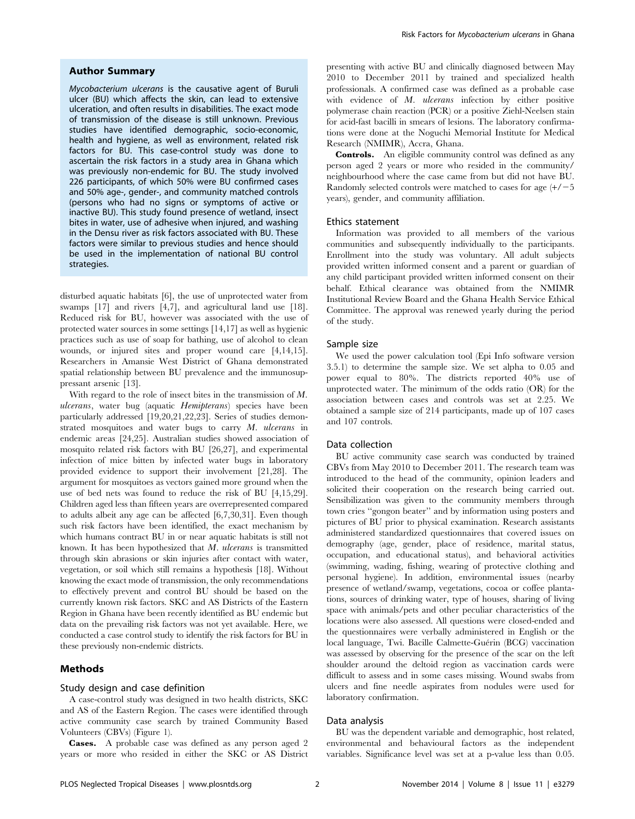## Author Summary

Mycobacterium ulcerans is the causative agent of Buruli ulcer (BU) which affects the skin, can lead to extensive ulceration, and often results in disabilities. The exact mode of transmission of the disease is still unknown. Previous studies have identified demographic, socio-economic, health and hygiene, as well as environment, related risk factors for BU. This case-control study was done to ascertain the risk factors in a study area in Ghana which was previously non-endemic for BU. The study involved 226 participants, of which 50% were BU confirmed cases and 50% age-, gender-, and community matched controls (persons who had no signs or symptoms of active or inactive BU). This study found presence of wetland, insect bites in water, use of adhesive when injured, and washing in the Densu river as risk factors associated with BU. These factors were similar to previous studies and hence should be used in the implementation of national BU control strategies.

disturbed aquatic habitats [6], the use of unprotected water from swamps [17] and rivers [4,7], and agricultural land use [18]. Reduced risk for BU, however was associated with the use of protected water sources in some settings [14,17] as well as hygienic practices such as use of soap for bathing, use of alcohol to clean wounds, or injured sites and proper wound care [4,14,15]. Researchers in Amansie West District of Ghana demonstrated spatial relationship between BU prevalence and the immunosuppressant arsenic [13].

With regard to the role of insect bites in the transmission of M. ulcerans, water bug (aquatic Hemipterans) species have been particularly addressed [19,20,21,22,23]. Series of studies demonstrated mosquitoes and water bugs to carry M. ulcerans in endemic areas [24,25]. Australian studies showed association of mosquito related risk factors with BU [26,27], and experimental infection of mice bitten by infected water bugs in laboratory provided evidence to support their involvement [21,28]. The argument for mosquitoes as vectors gained more ground when the use of bed nets was found to reduce the risk of BU [4,15,29]. Children aged less than fifteen years are overrepresented compared to adults albeit any age can be affected [6,7,30,31]. Even though such risk factors have been identified, the exact mechanism by which humans contract BU in or near aquatic habitats is still not known. It has been hypothesized that  $M$ . ulcerans is transmitted through skin abrasions or skin injuries after contact with water, vegetation, or soil which still remains a hypothesis [18]. Without knowing the exact mode of transmission, the only recommendations to effectively prevent and control BU should be based on the currently known risk factors. SKC and AS Districts of the Eastern Region in Ghana have been recently identified as BU endemic but data on the prevailing risk factors was not yet available. Here, we conducted a case control study to identify the risk factors for BU in these previously non-endemic districts.

## Methods

## Study design and case definition

A case-control study was designed in two health districts, SKC and AS of the Eastern Region. The cases were identified through active community case search by trained Community Based Volunteers (CBVs) (Figure 1).

Cases. A probable case was defined as any person aged 2 years or more who resided in either the SKC or AS District presenting with active BU and clinically diagnosed between May 2010 to December 2011 by trained and specialized health professionals. A confirmed case was defined as a probable case with evidence of M. ulcerans infection by either positive polymerase chain reaction (PCR) or a positive Ziehl-Neelsen stain for acid-fast bacilli in smears of lesions. The laboratory confirmations were done at the Noguchi Memorial Institute for Medical Research (NMIMR), Accra, Ghana.

Controls. An eligible community control was defined as any person aged 2 years or more who resided in the community/ neighbourhood where the case came from but did not have BU. Randomly selected controls were matched to cases for age  $(+/-5)$ years), gender, and community affiliation.

## Ethics statement

Information was provided to all members of the various communities and subsequently individually to the participants. Enrollment into the study was voluntary. All adult subjects provided written informed consent and a parent or guardian of any child participant provided written informed consent on their behalf. Ethical clearance was obtained from the NMIMR Institutional Review Board and the Ghana Health Service Ethical Committee. The approval was renewed yearly during the period of the study.

## Sample size

We used the power calculation tool (Epi Info software version 3.5.1) to determine the sample size. We set alpha to 0.05 and power equal to 80%. The districts reported 40% use of unprotected water. The minimum of the odds ratio (OR) for the association between cases and controls was set at 2.25. We obtained a sample size of 214 participants, made up of 107 cases and 107 controls.

## Data collection

BU active community case search was conducted by trained CBVs from May 2010 to December 2011. The research team was introduced to the head of the community, opinion leaders and solicited their cooperation on the research being carried out. Sensibilization was given to the community members through town cries ''gongon beater'' and by information using posters and pictures of BU prior to physical examination. Research assistants administered standardized questionnaires that covered issues on demography (age, gender, place of residence, marital status, occupation, and educational status), and behavioral activities (swimming, wading, fishing, wearing of protective clothing and personal hygiene). In addition, environmental issues (nearby presence of wetland/swamp, vegetations, cocoa or coffee plantations, sources of drinking water, type of houses, sharing of living space with animals/pets and other peculiar characteristics of the locations were also assessed. All questions were closed-ended and the questionnaires were verbally administered in English or the local language, Twi. Bacille Calmette-Guérin (BCG) vaccination was assessed by observing for the presence of the scar on the left shoulder around the deltoid region as vaccination cards were difficult to assess and in some cases missing. Wound swabs from ulcers and fine needle aspirates from nodules were used for laboratory confirmation.

#### Data analysis

BU was the dependent variable and demographic, host related, environmental and behavioural factors as the independent variables. Significance level was set at a p-value less than 0.05.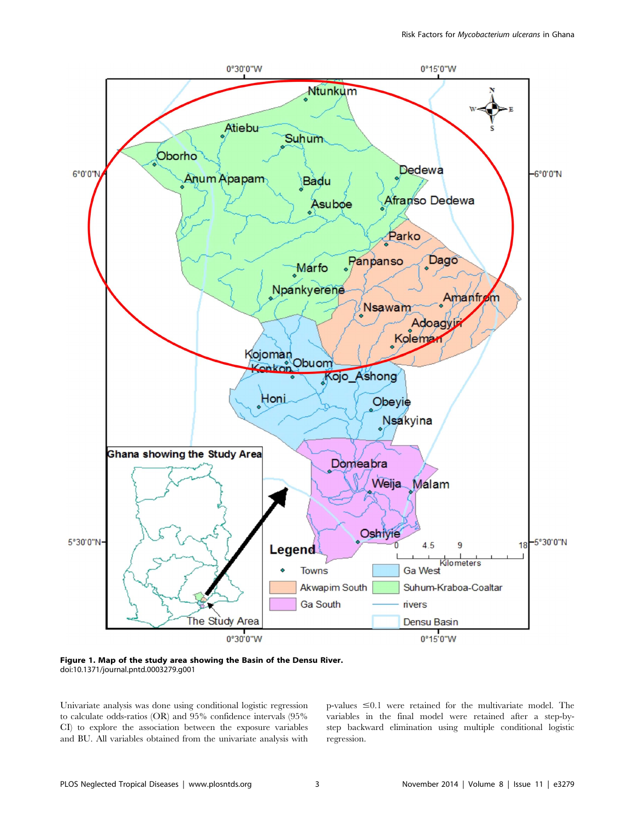

Figure 1. Map of the study area showing the Basin of the Densu River. doi:10.1371/journal.pntd.0003279.g001

Univariate analysis was done using conditional logistic regression to calculate odds-ratios (OR) and 95% confidence intervals (95% CI) to explore the association between the exposure variables and BU. All variables obtained from the univariate analysis with p-values  $\leq 0.1$  were retained for the multivariate model. The variables in the final model were retained after a step-bystep backward elimination using multiple conditional logistic regression.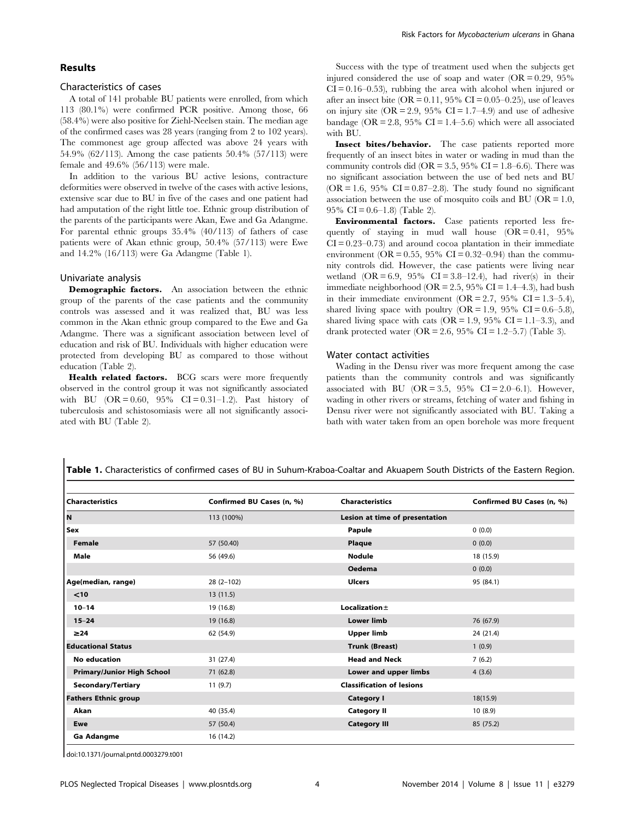## Results

## Characteristics of cases

A total of 141 probable BU patients were enrolled, from which 113 (80.1%) were confirmed PCR positive. Among those, 66 (58.4%) were also positive for Ziehl-Neelsen stain. The median age of the confirmed cases was 28 years (ranging from 2 to 102 years). The commonest age group affected was above 24 years with 54.9% (62/113). Among the case patients 50.4% (57/113) were female and 49.6% (56/113) were male.

In addition to the various BU active lesions, contracture deformities were observed in twelve of the cases with active lesions, extensive scar due to BU in five of the cases and one patient had had amputation of the right little toe. Ethnic group distribution of the parents of the participants were Akan, Ewe and Ga Adangme. For parental ethnic groups 35.4% (40/113) of fathers of case patients were of Akan ethnic group, 50.4% (57/113) were Ewe and 14.2% (16/113) were Ga Adangme (Table 1).

#### Univariate analysis

Demographic factors. An association between the ethnic group of the parents of the case patients and the community controls was assessed and it was realized that, BU was less common in the Akan ethnic group compared to the Ewe and Ga Adangme. There was a significant association between level of education and risk of BU. Individuals with higher education were protected from developing BU as compared to those without education (Table 2).

Health related factors. BCG scars were more frequently observed in the control group it was not significantly associated with BU  $(OR = 0.60, 95\% \text{ CI} = 0.31 - 1.2)$ . Past history of tuberculosis and schistosomiasis were all not significantly associated with BU (Table 2).

Success with the type of treatment used when the subjects get injured considered the use of soap and water  $(OR = 0.29, 95\%)$  $CI = 0.16 - 0.53$ , rubbing the area with alcohol when injured or after an insect bite (OR =  $0.11$ , 95% CI =  $0.05-0.25$ ), use of leaves on injury site  $(OR = 2.9, 95\% \text{ CI} = 1.7-4.9)$  and use of adhesive bandage (OR = 2.8, 95% CI = 1.4–5.6) which were all associated with BU.

Insect bites/behavior. The case patients reported more frequently of an insect bites in water or wading in mud than the community controls did (OR =  $3.5$ ,  $95\%$  CI =  $1.8-6.6$ ). There was no significant association between the use of bed nets and BU  $(OR = 1.6, 95\% \text{ CI} = 0.87-2.8)$ . The study found no significant association between the use of mosquito coils and BU ( $OR = 1.0$ , 95% CI =  $0.6-1.8$  (Table 2).

Environmental factors. Case patients reported less frequently of staying in mud wall house  $(OR = 0.41, 95\%)$  $CI = 0.23 - 0.73$  and around cocoa plantation in their immediate environment (OR = 0.55, 95% CI = 0.32–0.94) than the community controls did. However, the case patients were living near wetland  $(OR = 6.9, 95\% \text{ CI} = 3.8-12.4)$ , had river(s) in their immediate neighborhood ( $OR = 2.5$ , 95%  $CI = 1.4–4.3$ ), had bush in their immediate environment  $(OR = 2.7, 95\% \text{ CI} = 1.3-5.4)$ , shared living space with poultry  $(OR = 1.9, 95\% \text{ CI} = 0.6-5.8)$ , shared living space with cats (OR = 1.9, 95% CI = 1.1–3.3), and drank protected water (OR = 2.6, 95% CI = 1.2–5.7) (Table 3).

### Water contact activities

Wading in the Densu river was more frequent among the case patients than the community controls and was significantly associated with BU ( $OR = 3.5$ ,  $95\%$   $CI = 2.0-6.1$ ). However, wading in other rivers or streams, fetching of water and fishing in Densu river were not significantly associated with BU. Taking a bath with water taken from an open borehole was more frequent

| <b>Characteristics</b>            | Confirmed BU Cases (n, %) | <b>Characteristics</b>           | Confirmed BU Cases (n, %) |
|-----------------------------------|---------------------------|----------------------------------|---------------------------|
| N                                 | 113 (100%)                | Lesion at time of presentation   |                           |
| Sex                               |                           | Papule                           | 0(0.0)                    |
| Female                            | 57 (50.40)                | Plaque                           | 0(0.0)                    |
| Male                              | 56 (49.6)                 | <b>Nodule</b>                    | 18 (15.9)                 |
|                                   |                           | <b>Oedema</b>                    | 0(0.0)                    |
| Age(median, range)                | $28(2-102)$               | <b>Ulcers</b>                    | 95 (84.1)                 |
| < 10                              | 13(11.5)                  |                                  |                           |
| $10 - 14$                         | 19 (16.8)                 | Localization $\pm$               |                           |
| $15 - 24$                         | 19 (16.8)                 | <b>Lower limb</b>                | 76 (67.9)                 |
| $\geq 24$                         | 62 (54.9)                 | <b>Upper limb</b>                | 24 (21.4)                 |
| <b>Educational Status</b>         |                           | <b>Trunk (Breast)</b>            | 1(0.9)                    |
| <b>No education</b>               | 31 (27.4)                 | <b>Head and Neck</b>             | 7(6.2)                    |
| <b>Primary/Junior High School</b> | 71 (62.8)                 | Lower and upper limbs            | 4(3.6)                    |
| Secondary/Tertiary                | 11(9.7)                   | <b>Classification of lesions</b> |                           |
| <b>Fathers Ethnic group</b>       |                           | <b>Category I</b>                | 18(15.9)                  |
| Akan                              | 40 (35.4)                 | <b>Category II</b>               | 10(8.9)                   |
| Ewe                               | 57 (50.4)                 | <b>Category III</b>              | 85 (75.2)                 |
| Ga Adangme                        | 16 (14.2)                 |                                  |                           |

Table 1. Characteristics of confirmed cases of BU in Suhum-Kraboa-Coaltar and Akuapem South Districts of the Eastern Region.

doi:10.1371/journal.pntd.0003279.t001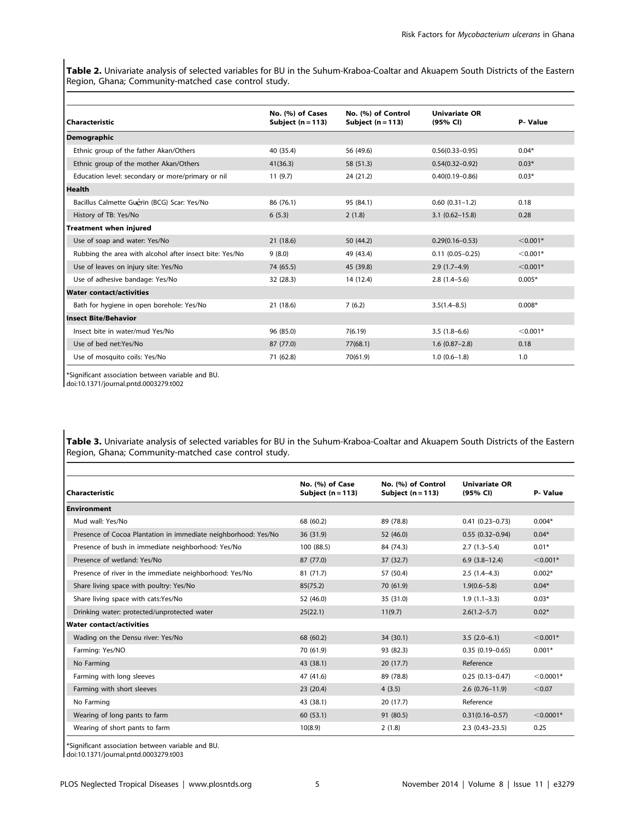Table 2. Univariate analysis of selected variables for BU in the Suhum-Kraboa-Coaltar and Akuapem South Districts of the Eastern Region, Ghana; Community-matched case control study.

| Characteristic                                          | No. (%) of Cases<br>Subject $(n = 113)$ | No. (%) of Control<br>Subject $(n = 113)$ | <b>Univariate OR</b><br>(95% CI) | P-Value    |
|---------------------------------------------------------|-----------------------------------------|-------------------------------------------|----------------------------------|------------|
| <b>Demographic</b>                                      |                                         |                                           |                                  |            |
| Ethnic group of the father Akan/Others                  | 40 (35.4)                               | 56 (49.6)                                 | $0.56(0.33 - 0.95)$              | $0.04*$    |
| Ethnic group of the mother Akan/Others                  | 41(36.3)                                | 58 (51.3)                                 | $0.54(0.32 - 0.92)$              | $0.03*$    |
| Education level: secondary or more/primary or nil       | 11(9.7)                                 | 24 (21.2)                                 | $0.40(0.19 - 0.86)$              | $0.03*$    |
| Health                                                  |                                         |                                           |                                  |            |
| Bacillus Calmette Guérin (BCG) Scar: Yes/No             | 86 (76.1)                               | 95 (84.1)                                 | $0.60(0.31-1.2)$                 | 0.18       |
| History of TB: Yes/No                                   | 6(5.3)                                  | 2(1.8)                                    | $3.1 (0.62 - 15.8)$              | 0.28       |
| <b>Treatment when injured</b>                           |                                         |                                           |                                  |            |
| Use of soap and water: Yes/No                           | 21(18.6)                                | 50 (44.2)                                 | $0.29(0.16 - 0.53)$              | $< 0.001*$ |
| Rubbing the area with alcohol after insect bite: Yes/No | 9(8.0)                                  | 49 (43.4)                                 | $0.11(0.05 - 0.25)$              | $< 0.001*$ |
| Use of leaves on injury site: Yes/No                    | 74 (65.5)                               | 45 (39.8)                                 | $2.9(1.7-4.9)$                   | $< 0.001*$ |
| Use of adhesive bandage: Yes/No                         | 32 (28.3)                               | 14 (12.4)                                 | $2.8(1.4-5.6)$                   | $0.005*$   |
| <b>Water contact/activities</b>                         |                                         |                                           |                                  |            |
| Bath for hygiene in open borehole: Yes/No               | 21 (18.6)                               | 7(6.2)                                    | $3.5(1.4 - 8.5)$                 | $0.008*$   |
| <b>Insect Bite/Behavior</b>                             |                                         |                                           |                                  |            |
| Insect bite in water/mud Yes/No                         | 96 (85.0)                               | 7(6.19)                                   | $3.5(1.8-6.6)$                   | $< 0.001*$ |
| Use of bed net:Yes/No                                   | 87 (77.0)                               | 77(68.1)                                  | $1.6(0.87-2.8)$                  | 0.18       |
| Use of mosquito coils: Yes/No                           | 71 (62.8)                               | 70(61.9)                                  | $1.0(0.6-1.8)$                   | 1.0        |

\*Significant association between variable and BU.

doi:10.1371/journal.pntd.0003279.t002

Table 3. Univariate analysis of selected variables for BU in the Suhum-Kraboa-Coaltar and Akuapem South Districts of the Eastern Region, Ghana; Community-matched case control study.

| Characteristic                                                 | No. (%) of Case<br>Subject $(n = 113)$ | No. (%) of Control<br>Subject $(n = 113)$ | <b>Univariate OR</b><br>(95% CI) | P-Value     |
|----------------------------------------------------------------|----------------------------------------|-------------------------------------------|----------------------------------|-------------|
| <b>Environment</b>                                             |                                        |                                           |                                  |             |
| Mud wall: Yes/No                                               | 68 (60.2)                              | 89 (78.8)                                 | $0.41(0.23 - 0.73)$              | $0.004*$    |
| Presence of Cocoa Plantation in immediate neighborhood: Yes/No | 36 (31.9)                              | 52 (46.0)                                 | $0.55(0.32 - 0.94)$              | $0.04*$     |
| Presence of bush in immediate neighborhood: Yes/No             | 100 (88.5)                             | 84 (74.3)                                 | $2.7(1.3-5.4)$                   | $0.01*$     |
| Presence of wetland: Yes/No                                    | 87 (77.0)                              | 37 (32.7)                                 | $6.9(3.8-12.4)$                  | $< 0.001*$  |
| Presence of river in the immediate neighborhood: Yes/No        | 81 (71.7)                              | 57 (50.4)                                 | $2.5(1.4-4.3)$                   | $0.002*$    |
| Share living space with poultry: Yes/No                        | 85(75.2)                               | 70 (61.9)                                 | $1.9(0.6 - 5.8)$                 | $0.04*$     |
| Share living space with cats:Yes/No                            | 52 (46.0)                              | 35 (31.0)                                 | $1.9(1.1-3.3)$                   | $0.03*$     |
| Drinking water: protected/unprotected water                    | 25(22.1)                               | 11(9.7)                                   | $2.6(1.2 - 5.7)$                 | $0.02*$     |
| <b>Water contact/activities</b>                                |                                        |                                           |                                  |             |
| Wading on the Densu river: Yes/No                              | 68 (60.2)                              | 34 (30.1)                                 | $3.5(2.0-6.1)$                   | $< 0.001*$  |
| Farming: Yes/NO                                                | 70 (61.9)                              | 93 (82.3)                                 | $0.35(0.19 - 0.65)$              | $0.001*$    |
| No Farming                                                     | 43 (38.1)                              | 20(17.7)                                  | Reference                        |             |
| Farming with long sleeves                                      | 47 (41.6)                              | 89 (78.8)                                 | $0.25(0.13 - 0.47)$              | $<$ 0.0001* |
| Farming with short sleeves                                     | 23(20.4)                               | 4(3.5)                                    | $2.6(0.76 - 11.9)$               | < 0.07      |
| No Farming                                                     | 43 (38.1)                              | 20 (17.7)                                 | Reference                        |             |
| Wearing of long pants to farm                                  | 60(53.1)                               | 91 (80.5)                                 | $0.31(0.16 - 0.57)$              | $<$ 0.0001* |
| Wearing of short pants to farm                                 | 10(8.9)                                | 2(1.8)                                    | $2.3(0.43-23.5)$                 | 0.25        |
|                                                                |                                        |                                           |                                  |             |

\*Significant association between variable and BU.

doi:10.1371/journal.pntd.0003279.t003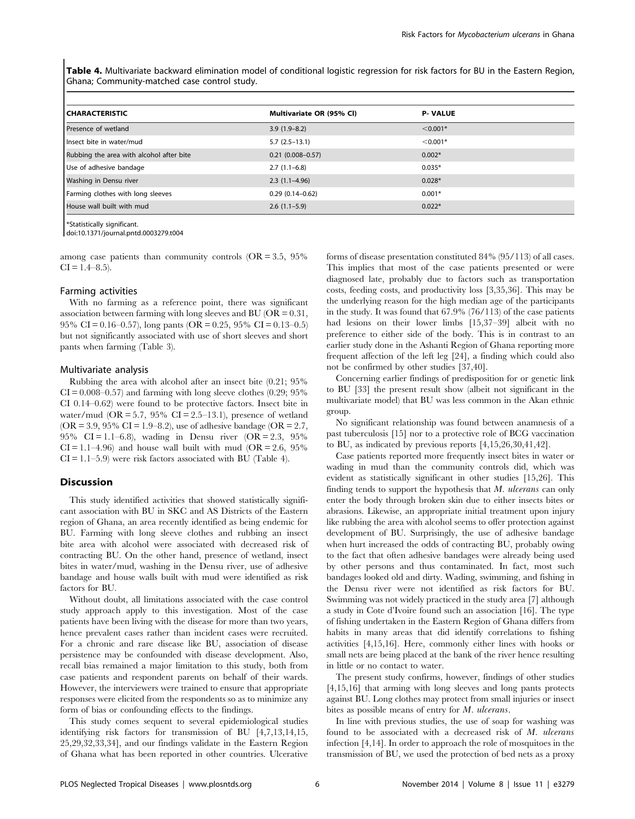Table 4. Multivariate backward elimination model of conditional logistic regression for risk factors for BU in the Eastern Region, Ghana; Community-matched case control study.

| <b>CHARACTERISTIC</b>                    | Multivariate OR (95% Cl) | <b>P-VALUE</b> |
|------------------------------------------|--------------------------|----------------|
| Presence of wetland                      | $3.9(1.9-8.2)$           | $< 0.001*$     |
| Insect bite in water/mud                 | $5.7(2.5-13.1)$          | $< 0.001*$     |
| Rubbing the area with alcohol after bite | $0.21(0.008 - 0.57)$     | $0.002*$       |
| Use of adhesive bandage                  | $2.7(1.1-6.8)$           | $0.035*$       |
| Washing in Densu river                   | $2.3(1.1-4.96)$          | $0.028*$       |
| Farming clothes with long sleeves        | $0.29(0.14 - 0.62)$      | $0.001*$       |
| House wall built with mud                | $2.6(1.1-5.9)$           | $0.022*$       |

\*Statistically significant.

doi:10.1371/journal.pntd.0003279.t004

among case patients than community controls  $(OR = 3.5, 95\%)$  $CI = 1.4–8.5$ ).

## Farming activities

With no farming as a reference point, there was significant association between farming with long sleeves and BU ( $OR = 0.31$ , 95% CI = 0.16–0.57), long pants (OR = 0.25, 95% CI = 0.13–0.5) but not significantly associated with use of short sleeves and short pants when farming (Table 3).

#### Multivariate analysis

Rubbing the area with alcohol after an insect bite (0.21; 95%  $CI = 0.008 - 0.57$  and farming with long sleeve clothes  $(0.29, 95\%)$ CI 0.14–0.62) were found to be protective factors. Insect bite in water/mud ( $OR = 5.7$ , 95%  $CI = 2.5-13.1$ ), presence of wetland (OR = 3.9, 95% CI = 1.9–8.2), use of adhesive bandage (OR = 2.7, 95% CI = 1.1–6.8), wading in Densu river  $(OR = 2.3, 95)$ %  $CI = 1.1 - 4.96$  and house wall built with mud  $(OR = 2.6, 95\%)$  $CI = 1.1 - 5.9$ ) were risk factors associated with BU (Table 4).

#### **Discussion**

This study identified activities that showed statistically significant association with BU in SKC and AS Districts of the Eastern region of Ghana, an area recently identified as being endemic for BU. Farming with long sleeve clothes and rubbing an insect bite area with alcohol were associated with decreased risk of contracting BU. On the other hand, presence of wetland, insect bites in water/mud, washing in the Densu river, use of adhesive bandage and house walls built with mud were identified as risk factors for BU.

Without doubt, all limitations associated with the case control study approach apply to this investigation. Most of the case patients have been living with the disease for more than two years, hence prevalent cases rather than incident cases were recruited. For a chronic and rare disease like BU, association of disease persistence may be confounded with disease development. Also, recall bias remained a major limitation to this study, both from case patients and respondent parents on behalf of their wards. However, the interviewers were trained to ensure that appropriate responses were elicited from the respondents so as to minimize any form of bias or confounding effects to the findings.

This study comes sequent to several epidemiological studies identifying risk factors for transmission of BU [4,7,13,14,15, 25,29,32,33,34], and our findings validate in the Eastern Region of Ghana what has been reported in other countries. Ulcerative

forms of disease presentation constituted 84% (95/113) of all cases. This implies that most of the case patients presented or were diagnosed late, probably due to factors such as transportation costs, feeding costs, and productivity loss [3,35,36]. This may be the underlying reason for the high median age of the participants in the study. It was found that 67.9% (76/113) of the case patients had lesions on their lower limbs [15,37-39] albeit with no preference to either side of the body. This is in contrast to an earlier study done in the Ashanti Region of Ghana reporting more frequent affection of the left leg [24], a finding which could also not be confirmed by other studies [37,40].

Concerning earlier findings of predisposition for or genetic link to BU [33] the present result show (albeit not significant in the multivariate model) that BU was less common in the Akan ethnic group.

No significant relationship was found between anamnesis of a past tuberculosis [15] nor to a protective role of BCG vaccination to BU, as indicated by previous reports [4,15,26,30,41,42].

Case patients reported more frequently insect bites in water or wading in mud than the community controls did, which was evident as statistically significant in other studies [15,26]. This finding tends to support the hypothesis that  $M$ . ulcerans can only enter the body through broken skin due to either insects bites or abrasions. Likewise, an appropriate initial treatment upon injury like rubbing the area with alcohol seems to offer protection against development of BU. Surprisingly, the use of adhesive bandage when hurt increased the odds of contracting BU, probably owing to the fact that often adhesive bandages were already being used by other persons and thus contaminated. In fact, most such bandages looked old and dirty. Wading, swimming, and fishing in the Densu river were not identified as risk factors for BU. Swimming was not widely practiced in the study area [7] although a study in Cote d'Ivoire found such an association [16]. The type of fishing undertaken in the Eastern Region of Ghana differs from habits in many areas that did identify correlations to fishing activities [4,15,16]. Here, commonly either lines with hooks or small nets are being placed at the bank of the river hence resulting in little or no contact to water.

The present study confirms, however, findings of other studies [4,15,16] that arming with long sleeves and long pants protects against BU. Long clothes may protect from small injuries or insect bites as possible means of entry for M. ulcerans.

In line with previous studies, the use of soap for washing was found to be associated with a decreased risk of M. ulcerans infection [4,14]. In order to approach the role of mosquitoes in the transmission of BU, we used the protection of bed nets as a proxy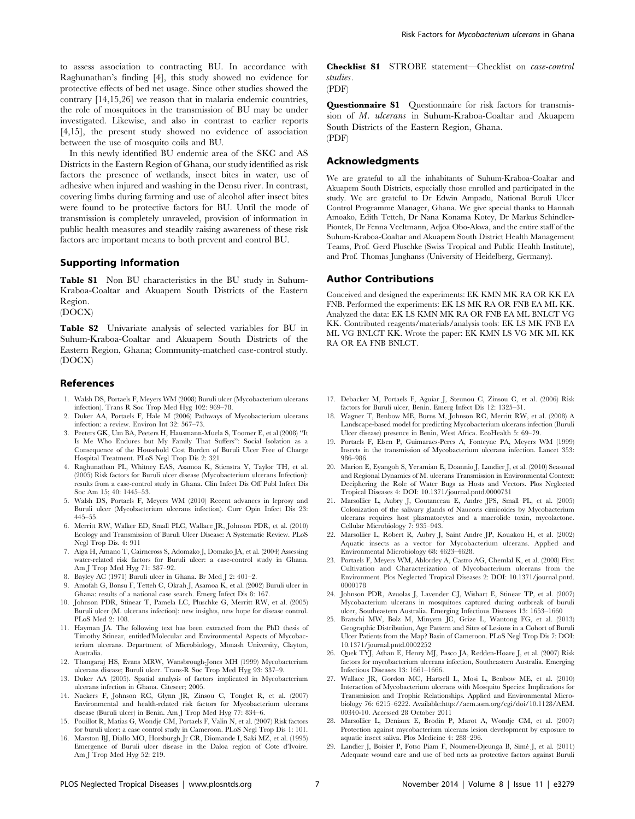to assess association to contracting BU. In accordance with Raghunathan's finding [4], this study showed no evidence for protective effects of bed net usage. Since other studies showed the contrary [14,15,26] we reason that in malaria endemic countries, the role of mosquitoes in the transmission of BU may be under investigated. Likewise, and also in contrast to earlier reports [4,15], the present study showed no evidence of association between the use of mosquito coils and BU.

In this newly identified BU endemic area of the SKC and AS Districts in the Eastern Region of Ghana, our study identified as risk factors the presence of wetlands, insect bites in water, use of adhesive when injured and washing in the Densu river. In contrast, covering limbs during farming and use of alcohol after insect bites were found to be protective factors for BU. Until the mode of transmission is completely unraveled, provision of information in public health measures and steadily raising awareness of these risk factors are important means to both prevent and control BU.

## Supporting Information

Table S1 Non BU characteristics in the BU study in Suhum-Kraboa-Coaltar and Akuapem South Districts of the Eastern Region.

(DOCX)

Table S2 Univariate analysis of selected variables for BU in Suhum-Kraboa-Coaltar and Akuapem South Districts of the Eastern Region, Ghana; Community-matched case-control study. (DOCX)

#### References

- 1. Walsh DS, Portaels F, Meyers WM (2008) Buruli ulcer (Mycobacterium ulcerans infection). Trans R Soc Trop Med Hyg 102: 969–78.
- 2. Duker AA, Portaels F, Hale M (2006) Pathways of Mycobacterium ulcerans infection: a review. Environ Int 32: 567–73.
- 3. Peeters GK, Um BA, Peeters H, Hausmann-Muela S, Toomer E, et al (2008) ''It Is Me Who Endures but My Family That Suffers'': Social Isolation as a Consequence of the Household Cost Burden of Buruli Ulcer Free of Charge Hospital Treatment. PLoS Negl Trop Dis 2: 321
- 4. Raghunathan PL, Whitney EAS, Asamoa K, Stienstra Y, Taylor TH, et al. (2005) Risk factors for Buruli ulcer disease (Mycobacterium ulcerans Infection): results from a case-control study in Ghana. Clin Infect Dis Off Publ Infect Dis Soc Am 15; 40: 1445–53.
- 5. Walsh DS, Portaels F, Meyers WM (2010) Recent advances in leprosy and Buruli ulcer (Mycobacterium ulcerans infection). Curr Opin Infect Dis 23: 445–55.
- 6. Merritt RW, Walker ED, Small PLC, Wallace JR, Johnson PDR, et al. (2010) Ecology and Transmission of Buruli Ulcer Disease: A Systematic Review. PLoS Negl Trop Dis. 4: 911
- 7. Aiga H, Amano T, Cairncross S, Adomako J, Domako JA, et al. (2004) Assessing water-related risk factors for Buruli ulcer: a case-control study in Ghana. Am J Trop Med Hyg 71: 387–92.
- 8. Bayley AC (1971) Buruli ulcer in Ghana. Br Med J 2: 401–2.
- 9. Amofah G, Bonsu F, Tetteh C, Okrah J, Asamoa K, et al. (2002) Buruli ulcer in Ghana: results of a national case search. Emerg Infect Dis 8: 167.
- 10. Johnson PDR, Stinear T, Pamela LC, Pluschke G, Merritt RW, et al. (2005) Buruli ulcer (M. ulcerans infection): new insights, new hope for disease control. PLoS Med 2: 108.
- 11. Hayman JA. The following text has been extracted from the PhD thesis of Timothy Stinear, entitled'Molecular and Environmental Aspects of Mycobacterium ulcerans. Department of Microbiology, Monash University, Clayton, Australia.
- 12. Thangaraj HS, Evans MRW, Wansbrough-Jones MH (1999) Mycobacterium ulcerans disease; Buruli ulcer. Trans-R Soc Trop Med Hyg 93: 337–9.
- 13. Duker AA (2005). Spatial analysis of factors implicated in Mycobacterium ulcerans infection in Ghana. Citeseer; 2005.
- 14. Nackers F, Johnson RC, Glynn JR, Zinsou C, Tonglet R, et al. (2007) Environmental and health-related risk factors for Mycobacterium ulcerans disease (Buruli ulcer) in Benin. Am J Trop Med Hyg 77: 834–6.
- 15. Pouillot R, Matias G, Wondje CM, Portaels F, Valin N, et al. (2007) Risk factors for buruli ulcer: a case control study in Cameroon. PLoS Negl Trop Dis 1: 101.
- 16. Marston BJ, Diallo MO, Horsburgh Jr CR, Diomande I, Saki MZ, et al. (1995) Emergence of Buruli ulcer disease in the Daloa region of Cote d'Ivoire. Am J Trop Med Hyg 52: 219.

Checklist S1 STROBE statement—Checklist on case-control studies. (PDF)

Questionnaire S1 Questionnaire for risk factors for transmission of M. ulcerans in Suhum-Kraboa-Coaltar and Akuapem South Districts of the Eastern Region, Ghana. (PDF)

## Acknowledgments

We are grateful to all the inhabitants of Suhum-Kraboa-Coaltar and Akuapem South Districts, especially those enrolled and participated in the study. We are grateful to Dr Edwin Ampadu, National Buruli Ulcer Control Programme Manager, Ghana. We give special thanks to Hannah Amoako, Edith Tetteh, Dr Nana Konama Kotey, Dr Markus Schindler-Piontek, Dr Fenna Veeltmann, Adjoa Obo-Akwa, and the entire staff of the Suhum-Kraboa-Coaltar and Akuapem South District Health Management Teams, Prof. Gerd Pluschke (Swiss Tropical and Public Health Institute), and Prof. Thomas Junghanss (University of Heidelberg, Germany).

#### Author Contributions

Conceived and designed the experiments: EK KMN MK RA OR KK EA FNB. Performed the experiments: EK LS MK RA OR FNB EA ML KK. Analyzed the data: EK LS KMN MK RA OR FNB EA ML BNLCT VG KK. Contributed reagents/materials/analysis tools: EK LS MK FNB EA ML VG BNLCT KK. Wrote the paper: EK KMN LS VG MK ML KK RA OR EA FNB BNLCT.

- 17. Debacker M, Portaels F, Aguiar J, Steunou C, Zinsou C, et al. (2006) Risk factors for Buruli ulcer, Benin. Emerg Infect Dis 12: 1325–31.
- 18. Wagner T, Benbow ME, Burns M, Johnson RC, Merritt RW, et al. (2008) A Landscape-based model for predicting Mycobacterium ulcerans infection (Buruli Ulcer disease) presence in Benin, West Africa. EcoHealth 5: 69–79.
- 19. Portaels F, Elsen P, Guimaraes-Peres A, Fonteyne PA, Meyers WM (1999) Insects in the transmission of Mycobacterium ulcerans infection. Lancet 353: 986–986.
- 20. Marion E, Eyangoh S, Yeramian E, Doannio J, Landier J, et al. (2010) Seasonal and Regional Dynamics of M. ulcerans Transmission in Environmental Context: Deciphering the Role of Water Bugs as Hosts and Vectors. Plos Neglected Tropical Diseases 4: DOI: 10.1371/journal.pntd.0000731
- 21. Marsollier L, Aubry J, Coutanceau E, Andre JPS, Small PL, et al. (2005) Colonization of the salivary glands of Naucoris cimicoides by Mycobacterium ulcerans requires host plasmatocytes and a macrolide toxin, mycolactone. Cellular Microbiology 7: 935–943.
- 22. Marsollier L, Robert R, Aubry J, Saint Andre JP, Kouakou H, et al. (2002) Aquatic insects as a vector for Mycobacterium ulcerans. Applied and Environmental Microbiology 68: 4623–4628.
- 23. Portaels F, Meyers WM, Ablordey A, Castro AG, Chemlal K, et al. (2008) First Cultivation and Characterization of Mycobacterium ulcerans from the Environment. Plos Neglected Tropical Diseases 2: DOI: 10.1371/journal.pntd. 0000178
- 24. Johnson PDR, Azuolas J, Lavender CJ, Wishart E, Stinear TP, et al. (2007) Mycobacterium ulcerans in mosquitoes captured during outbreak of buruli ulcer, Southeastern Australia. Emerging Infectious Diseases 13: 1653–1660
- 25. Bratschi MW, Bolz M, Minyem JC, Grize L, Wantong FG, et al. (2013) Geographic Distribution, Age Pattern and Sites of Lesions in a Cohort of Buruli Ulcer Patients from the Map? Basin of Cameroon. PLoS Negl Trop Dis 7: DOI: 10.1371/journal.pntd.0002252
- 26. Quek TYJ, Athan E, Henry MJ, Pasco JA, Redden-Hoare J, et al. (2007) Risk factors for mycobacterium ulcerans infection, Southeastern Australia. Emerging Infectious Diseases 13: 1661–1666.
- 27. Wallace JR, Gordon MC, Hartsell L, Mosi L, Benbow ME, et al. (2010) Interaction of Mycobacterium ulcerans with Mosquito Species: Implications for Transmission and Trophic Relationships. Applied and Environmental Microbiology 76: 6215–6222. Available[:http://aem.asm.org/cgi/doi/10.1128/AEM.](http://aem.asm.org/cgi/doi/10.1128/AEM.00340-10) [00340-10](http://aem.asm.org/cgi/doi/10.1128/AEM.00340-10). Accessed 28 October 2011
- 28. Marsollier L, Deniaux E, Brodin P, Marot A, Wondje CM, et al. (2007) Protection against mycobacterium ulcerans lesion development by exposure to aquatic insect saliva. Plos Medicine 4: 288–296.
- 29. Landier J, Boisier P, Fotso Piam F, Noumen-Djeunga B, Sime´ J, et al. (2011) Adequate wound care and use of bed nets as protective factors against Buruli